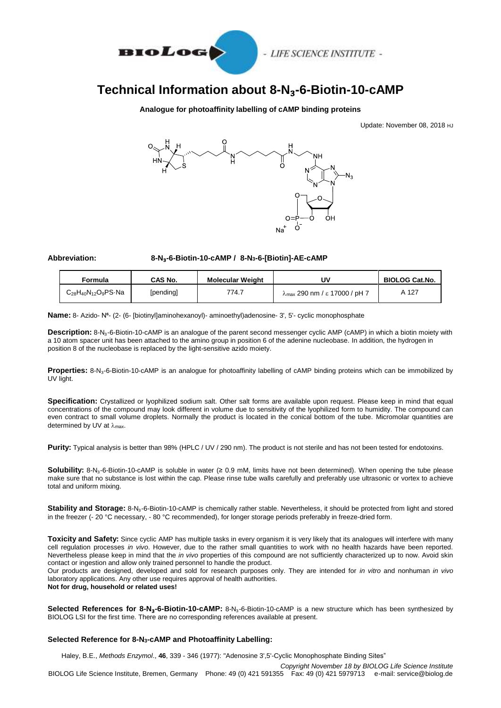

- LIFE SCIENCE INSTITUTE -

# **Technical Information about 8-N**₃**-6-Biotin-10-cAMP**

### **Analogue for photoaffinity labelling of cAMP binding proteins**

Update: November 08, 2018 HJ



**Abbreviation: 8-N**₃**-6-Biotin-10-cAMP / 8-N3-6-[Biotin]-AE-cAMP**

| Formula                            | CAS No.   | <b>Molecular Weight</b> | U٧                                             | <b>BIOLOG Cat.No.</b> |
|------------------------------------|-----------|-------------------------|------------------------------------------------|-----------------------|
| $C_{28}H_{40}N_{12}O_9PS \cdot Na$ | [pending] | 774.7                   | $\lambda_{\text{max}}$ 290 nm / ε 17000 / pH 7 | A 127                 |

**Name:** 8- Azido- N<sup>6</sup>- (2- (6- [biotinyl]aminohexanoyl)- aminoethyl)adenosine- 3', 5'- cyclic monophosphate

**Description:** 8-N<sub>3</sub>-6-Biotin-10-cAMP is an analogue of the parent second messenger cyclic AMP (cAMP) in which a biotin moiety with a 10 atom spacer unit has been attached to the amino group in position 6 of the adenine nucleobase. In addition, the hydrogen in position 8 of the nucleobase is replaced by the light-sensitive azido moiety.

**Properties:** 8-N₃-6-Biotin-10-cAMP is an analogue for photoaffinity labelling of cAMP binding proteins which can be immobilized by UV light.

**Specification:** Crystallized or lyophilized sodium salt. Other salt forms are available upon request. Please keep in mind that equal concentrations of the compound may look different in volume due to sensitivity of the lyophilized form to humidity. The compound can even contract to small volume droplets. Normally the product is located in the conical bottom of the tube. Micromolar quantities are determined by UV at  $\lambda_{\text{max}}$ .

**Purity:** Typical analysis is better than 98% (HPLC / UV / 290 nm). The product is not sterile and has not been tested for endotoxins.

**Solubility:** 8-N₃-6-Biotin-10-cAMP is soluble in water (≥ 0.9 mM, limits have not been determined). When opening the tube please make sure that no substance is lost within the cap. Please rinse tube walls carefully and preferably use ultrasonic or vortex to achieve total and uniform mixing.

**Stability and Storage:** 8-N<sub>3</sub>-6-Biotin-10-cAMP is chemically rather stable. Nevertheless, it should be protected from light and stored in the freezer (- 20 °C necessary, - 80 °C recommended), for longer storage periods preferably in freeze-dried form.

Toxicity and Safety: Since cyclic AMP has multiple tasks in every organism it is very likely that its analogues will interfere with many cell regulation processes *in vivo*. However, due to the rather small quantities to work with no health hazards have been reported. Nevertheless please keep in mind that the *in vivo* properties of this compound are not sufficiently characterized up to now. Avoid skin contact or ingestion and allow only trained personnel to handle the product.

Our products are designed, developed and sold for research purposes only. They are intended for *in vitro* and nonhuman *in vivo* laboratory applications. Any other use requires approval of health authorities.

**Not for drug, household or related uses!**

**Selected References for 8-N**₃**-6-Biotin-10-cAMP:** 8-N₃-6-Biotin-10-cAMP is a new structure which has been synthesized by BIOLOG LSI for the first time. There are no corresponding references available at present.

### **Selected Reference for 8-N3-cAMP and Photoaffinity Labelling:**

Haley, B.E., *Methods Enzymol*., **46**, 339 - 346 (1977): "Adenosine 3',5'-Cyclic Monophosphate Binding Sites"

*Copyright November 18 by BIOLOG Life Science Institute* BIOLOG Life Science Institute, Bremen, Germany Phone: 49 (0) 421 591355 Fax: 49 (0) 421 5979713 e-mail: service@biolog.de